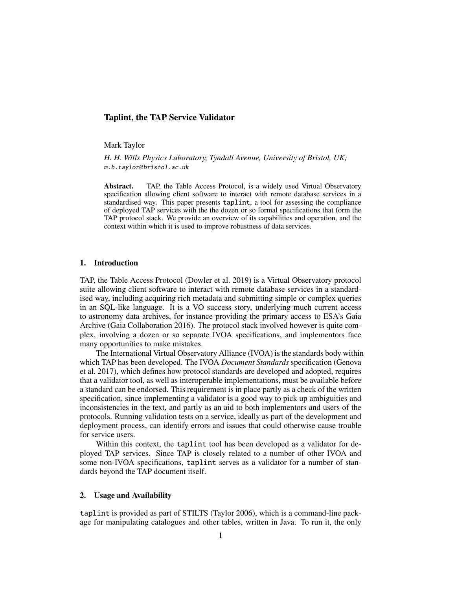## Taplint, the TAP Service Validator

Mark Taylor

*H. H. Wills Physics Laboratory, Tyndall Avenue, University of Bristol, UK;* m.b.taylor@ bristol.ac.uk

Abstract. TAP, the Table Access Protocol, is a widely used Virtual Observatory specification allowing client software to interact with remote database services in a standardised way. This paper presents taplint, a tool for assessing the compliance of deployed TAP services with the the dozen or so formal specifications that form the TAP protocol stack. We provide an overview of its capabilities and operation, and the context within which it is used to improve robustness of data services.

## 1. Introduction

TAP, the Table Access Protocol (Dowler et al. 2019) is a Virtual Observatory protocol suite allowing client software to interact with remote database services in a standardised way, including acquiring rich metadata and submitting simple or complex queries in an SQL-like language. It is a VO success story, underlying much current access to astronomy data archives, for instance providing the primary access to ESA's Gaia Archive (Gaia Collaboration 2016). The protocol stack involved however is quite complex, involving a dozen or so separate IVOA specifications, and implementors face many opportunities to make mistakes.

The International Virtual Observatory Alliance (IVOA) is the standards body within which TAP has been developed. The IVOA *Document Standards* specification (Genova et al. 2017), which defines how protocol standards are developed and adopted, requires that a validator tool, as well as interoperable implementations, must be available before a standard can be endorsed. This requirement is in place partly as a check of the written specification, since implementing a validator is a good way to pick up ambiguities and inconsistencies in the text, and partly as an aid to both implementors and users of the protocols. Running validation tests on a service, ideally as part of the development and deployment process, can identify errors and issues that could otherwise cause trouble for service users.

Within this context, the taplint tool has been developed as a validator for deployed TAP services. Since TAP is closely related to a number of other IVOA and some non-IVOA specifications, taplint serves as a validator for a number of standards beyond the TAP document itself.

# 2. Usage and Availability

taplint is provided as part of STILTS (Taylor 2006), which is a command-line package for manipulating catalogues and other tables, written in Java. To run it, the only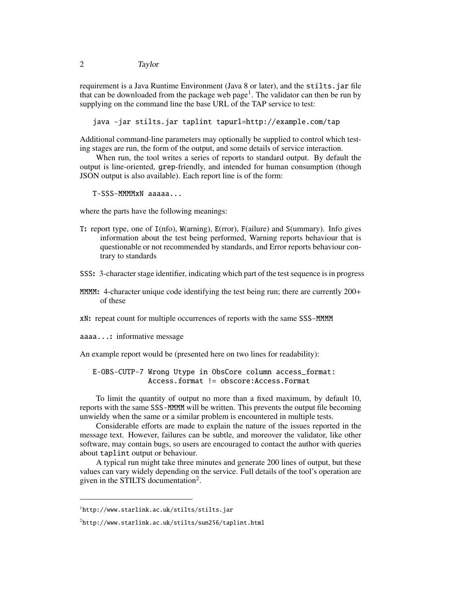requirement is a Java Runtime Environment (Java 8 or later), and the stilts.jar file that can be downloaded from the package web page<sup>1</sup>. The validator can then be run by supplying on the command line the base URL of the TAP service to test:

java -jar stilts.jar taplint tapurl=http://example.com/tap

Additional command-line parameters may optionally be supplied to control which testing stages are run, the form of the output, and some details of service interaction.

When run, the tool writes a series of reports to standard output. By default the output is line-oriented, grep-friendly, and intended for human consumption (though JSON output is also available). Each report line is of the form:

T-SSS-MMMMxN aaaaa...

where the parts have the following meanings:

- T: report type, one of I(nfo), W(arning), E(rror), F(ailure) and S(ummary). Info gives information about the test being performed, Warning reports behaviour that is questionable or not recommended by standards, and Error reports behaviour contrary to standards
- SSS: 3-character stage identifier, indicating which part of the test sequence isin progress
- MMM: 4-character unique code identifying the test being run; there are currently  $200+$ of these
- xN: repeat count for multiple occurrences of reports with the same SSS-MMMM
- aaaa...: informative message

An example report would be (presented here on two lines for readability):

E-OBS-CUTP-7 Wrong Utype in ObsCore column access\_format: Access.format != obscore:Access.Format

To limit the quantity of output no more than a fixed maximum, by default 10, reports with the same SSS-MMMM will be written. This prevents the output file becoming unwieldy when the same or a similar problem is encountered in multiple tests.

Considerable efforts are made to explain the nature of the issues reported in the message text. However, failures can be subtle, and moreover the validator, like other software, may contain bugs, so users are encouraged to contact the author with queries about taplint output or behaviour.

A typical run might take three minutes and generate 200 lines of output, but these values can vary widely depending on the service. Full details of the tool's operation are given in the STILTS documentation<sup>2</sup>.

<sup>1</sup>http://www.starlink.ac.uk/stilts/stilts.jar

<sup>2</sup>http://www.starlink.ac.uk/stilts/sun256/taplint.html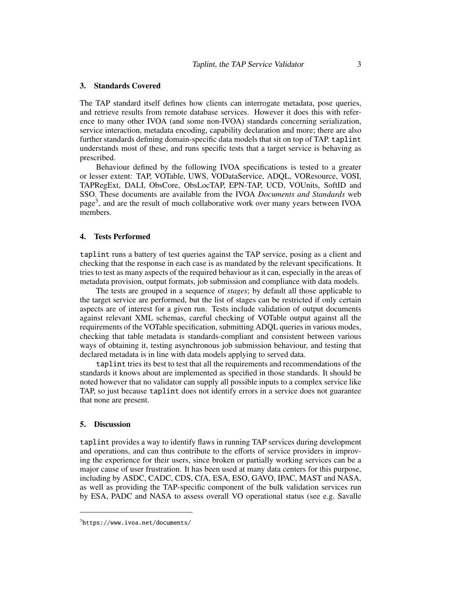## 3. Standards Covered

The TAP standard itself defines how clients can interrogate metadata, pose queries, and retrieve results from remote database services. However it does this with reference to many other IVOA (and some non-IVOA) standards concerning serialization, service interaction, metadata encoding, capability declaration and more; there are also further standards defining domain-specific data models that sit on top of TAP. taplint understands most of these, and runs specific tests that a target service is behaving as prescribed.

Behaviour defined by the following IVOA specifications is tested to a greater or lesser extent: TAP, VOTable, UWS, VODataService, ADQL, VOResource, VOSI, TAPRegExt, DALI, ObsCore, ObsLocTAP, EPN-TAP, UCD, VOUnits, SoftID and SSO. These documents are available from the IVOA *Documents and Standards* web page<sup>3</sup>, and are the result of much collaborative work over many years between IVOA members.

### 4. Tests Performed

taplint runs a battery of test queries against the TAP service, posing as a client and checking that the response in each case is as mandated by the relevant specifications. It tries to test as many aspects of the required behaviour as it can, especially in the areas of metadata provision, output formats, job submission and compliance with data models.

The tests are grouped in a sequence of *stages*; by default all those applicable to the target service are performed, but the list of stages can be restricted if only certain aspects are of interest for a given run. Tests include validation of output documents against relevant XML schemas, careful checking of VOTable output against all the requirements of the VOTable specification, submitting ADQL queries in various modes, checking that table metadata is standards-compliant and consistent between various ways of obtaining it, testing asynchronous job submission behaviour, and testing that declared metadata is in line with data models applying to served data.

taplint tries its best to test that all the requirements and recommendations of the standards it knows about are implemented as specified in those standards. It should be noted however that no validator can supply all possible inputs to a complex service like TAP, so just because taplint does not identify errors in a service does not guarantee that none are present.

#### 5. Discussion

taplint provides a way to identify flaws in running TAP services during development and operations, and can thus contribute to the efforts of service providers in improving the experience for their users, since broken or partially working services can be a major cause of user frustration. It has been used at many data centers for this purpose, including by ASDC, CADC, CDS, CfA, ESA, ESO, GAVO, IPAC, MAST and NASA, as well as providing the TAP-specific component of the bulk validation services run by ESA, PADC and NASA to assess overall VO operational status (see e.g. Savalle

<sup>3</sup>https://www.ivoa.net/documents/